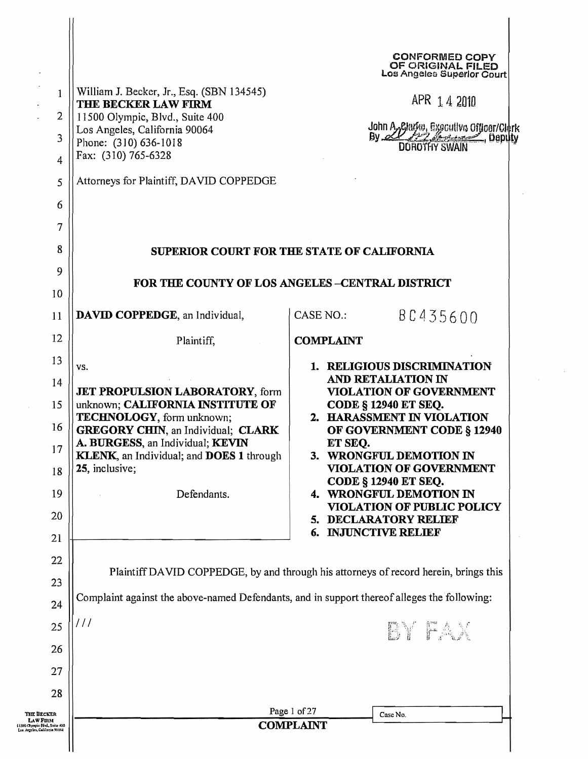| Attorneys for Plaintiff, DAVID COPPEDGE<br>5<br>6<br>7                                                                                                                                                                                                                               | John A Plarke, Executive Officer/Clerk<br>By COROTHY SWAIN                                                                                                                                                              |  |  |  |  |  |
|--------------------------------------------------------------------------------------------------------------------------------------------------------------------------------------------------------------------------------------------------------------------------------------|-------------------------------------------------------------------------------------------------------------------------------------------------------------------------------------------------------------------------|--|--|--|--|--|
| 8                                                                                                                                                                                                                                                                                    | SUPERIOR COURT FOR THE STATE OF CALIFORNIA<br>FOR THE COUNTY OF LOS ANGELES-CENTRAL DISTRICT                                                                                                                            |  |  |  |  |  |
| 9                                                                                                                                                                                                                                                                                    |                                                                                                                                                                                                                         |  |  |  |  |  |
| 10                                                                                                                                                                                                                                                                                   |                                                                                                                                                                                                                         |  |  |  |  |  |
| DAVID COPPEDGE, an Individual,<br>11                                                                                                                                                                                                                                                 | <b>CASE NO.:</b><br>80435600                                                                                                                                                                                            |  |  |  |  |  |
| 12<br>Plaintiff,                                                                                                                                                                                                                                                                     | <b>COMPLAINT</b>                                                                                                                                                                                                        |  |  |  |  |  |
| 13<br>VS.                                                                                                                                                                                                                                                                            | 1. RELIGIOUS DISCRIMINATION                                                                                                                                                                                             |  |  |  |  |  |
| 14<br><b>JET PROPULSION LABORATORY, form</b><br>15<br>unknown; CALIFORNIA INSTITUTE OF<br>TECHNOLOGY, form unknown;<br>16<br><b>GREGORY CHIN, an Individual; CLARK</b><br>A. BURGESS, an Individual; KEVIN<br>17<br>KLENK, an Individual; and DOES 1 through<br>25, inclusive;<br>18 | AND RETALIATION IN<br><b>VIOLATION OF GOVERNMENT</b><br><b>CODE § 12940 ET SEQ.</b><br>2. HARASSMENT IN VIOLATION<br>OF GOVERNMENT CODE § 12940<br>ET SEQ.<br>3. WRONGFUL DEMOTION IN<br><b>VIOLATION OF GOVERNMENT</b> |  |  |  |  |  |
| 19<br>Defendants.<br>20                                                                                                                                                                                                                                                              | <b>CODE § 12940 ET SEQ.</b><br>4. WRONGFUL DEMOTION IN<br><b>VIOLATION OF PUBLIC POLICY</b><br>5. DECLARATORY RELIEF                                                                                                    |  |  |  |  |  |
| 21                                                                                                                                                                                                                                                                                   | <b>6. INJUNCTIVE RELIEF</b>                                                                                                                                                                                             |  |  |  |  |  |
| 22<br>23                                                                                                                                                                                                                                                                             | Plaintiff DAVID COPPEDGE, by and through his attorneys of record herein, brings this                                                                                                                                    |  |  |  |  |  |
| 24                                                                                                                                                                                                                                                                                   | Complaint against the above-named Defendants, and in support thereof alleges the following:                                                                                                                             |  |  |  |  |  |
| ///<br>25                                                                                                                                                                                                                                                                            |                                                                                                                                                                                                                         |  |  |  |  |  |
| 26                                                                                                                                                                                                                                                                                   | BY FAX                                                                                                                                                                                                                  |  |  |  |  |  |
| 27                                                                                                                                                                                                                                                                                   |                                                                                                                                                                                                                         |  |  |  |  |  |
| 28                                                                                                                                                                                                                                                                                   |                                                                                                                                                                                                                         |  |  |  |  |  |
| Page 1 of 27<br>THE DECKER                                                                                                                                                                                                                                                           | Case No.                                                                                                                                                                                                                |  |  |  |  |  |
| Law Firm<br><b>COMPLAINT</b><br>(1500 Chympie Išlud, Suite 400<br>Los Argeles, California 90064                                                                                                                                                                                      |                                                                                                                                                                                                                         |  |  |  |  |  |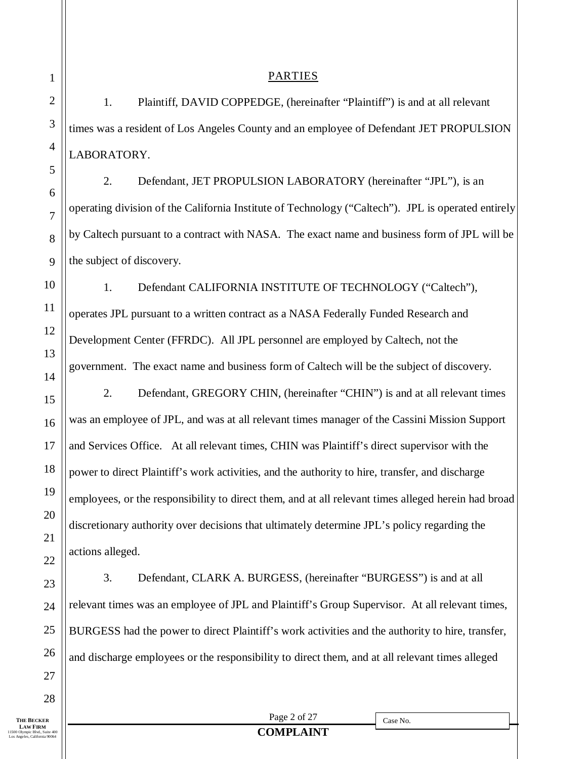**THE BECKER LAW FIRM** 11500 Olympic Blvd., Suite 400 Los Angeles, California 90064

28

1. Plaintiff, DAVID COPPEDGE, (hereinafter "Plaintiff") is and at all relevant times was a resident of Los Angeles County and an employee of Defendant JET PROPULSION LABORATORY.

PARTIES

2. Defendant, JET PROPULSION LABORATORY (hereinafter "JPL"), is an operating division of the California Institute of Technology ("Caltech"). JPL is operated entirely by Caltech pursuant to a contract with NASA. The exact name and business form of JPL will be the subject of discovery.

1. Defendant CALIFORNIA INSTITUTE OF TECHNOLOGY ("Caltech"), operates JPL pursuant to a written contract as a NASA Federally Funded Research and Development Center (FFRDC). All JPL personnel are employed by Caltech, not the government. The exact name and business form of Caltech will be the subject of discovery.

2. Defendant, GREGORY CHIN, (hereinafter "CHIN") is and at all relevant times was an employee of JPL, and was at all relevant times manager of the Cassini Mission Support and Services Office. At all relevant times, CHIN was Plaintiff's direct supervisor with the power to direct Plaintiff's work activities, and the authority to hire, transfer, and discharge employees, or the responsibility to direct them, and at all relevant times alleged herein had broad discretionary authority over decisions that ultimately determine JPL's policy regarding the actions alleged.

3. Defendant, CLARK A. BURGESS, (hereinafter "BURGESS") is and at all relevant times was an employee of JPL and Plaintiff's Group Supervisor. At all relevant times, BURGESS had the power to direct Plaintiff's work activities and the authority to hire, transfer, and discharge employees or the responsibility to direct them, and at all relevant times alleged

Page 2 of 27 **COMPLAINT**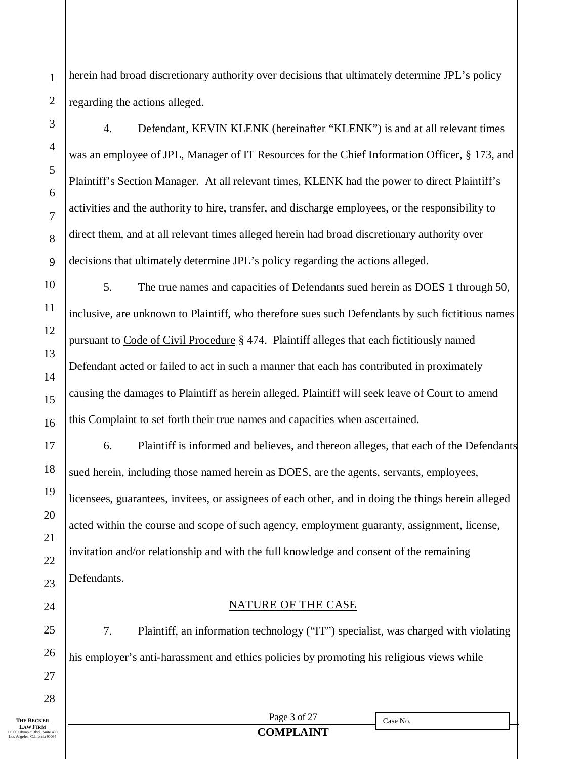herein had broad discretionary authority over decisions that ultimately determine JPL's policy regarding the actions alleged.

4. Defendant, KEVIN KLENK (hereinafter "KLENK") is and at all relevant times was an employee of JPL, Manager of IT Resources for the Chief Information Officer, § 173, and Plaintiff's Section Manager. At all relevant times, KLENK had the power to direct Plaintiff's activities and the authority to hire, transfer, and discharge employees, or the responsibility to direct them, and at all relevant times alleged herein had broad discretionary authority over decisions that ultimately determine JPL's policy regarding the actions alleged.

5. The true names and capacities of Defendants sued herein as DOES 1 through 50, inclusive, are unknown to Plaintiff, who therefore sues such Defendants by such fictitious names pursuant to Code of Civil Procedure § 474. Plaintiff alleges that each fictitiously named Defendant acted or failed to act in such a manner that each has contributed in proximately causing the damages to Plaintiff as herein alleged. Plaintiff will seek leave of Court to amend this Complaint to set forth their true names and capacities when ascertained.

6. Plaintiff is informed and believes, and thereon alleges, that each of the Defendants sued herein, including those named herein as DOES, are the agents, servants, employees, licensees, guarantees, invitees, or assignees of each other, and in doing the things herein alleged acted within the course and scope of such agency, employment guaranty, assignment, license, invitation and/or relationship and with the full knowledge and consent of the remaining Defendants.

### NATURE OF THE CASE

7. Plaintiff, an information technology ("IT") specialist, was charged with violating his employer's anti-harassment and ethics policies by promoting his religious views while

1

2

3

4

5

6

7

8

9

10

11

12

13

14

15

16

17

18

19

20

21

22

23

24

25

26

27

Page 3 of 27

Case No.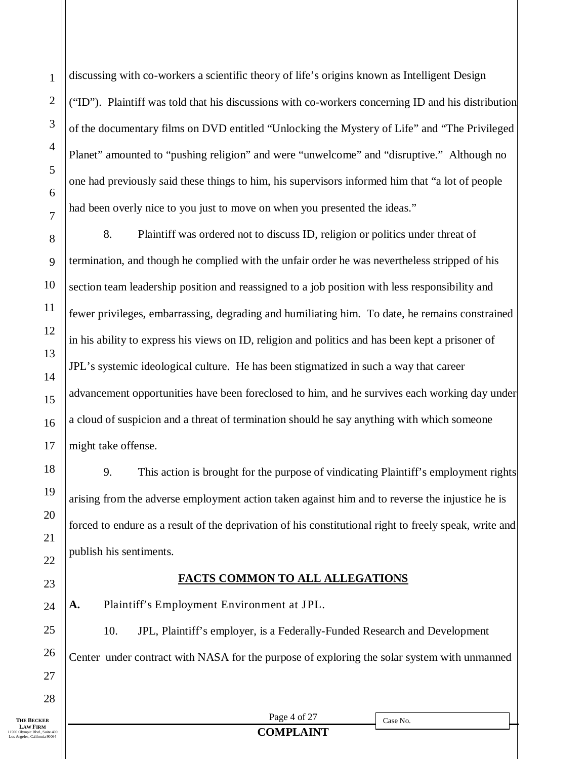discussing with co-workers a scientific theory of life's origins known as Intelligent Design ("ID"). Plaintiff was told that his discussions with co-workers concerning ID and his distribution of the documentary films on DVD entitled "Unlocking the Mystery of Life" and "The Privileged Planet" amounted to "pushing religion" and were "unwelcome" and "disruptive." Although no one had previously said these things to him, his supervisors informed him that "a lot of people had been overly nice to you just to move on when you presented the ideas."

8. Plaintiff was ordered not to discuss ID, religion or politics under threat of termination, and though he complied with the unfair order he was nevertheless stripped of his section team leadership position and reassigned to a job position with less responsibility and fewer privileges, embarrassing, degrading and humiliating him. To date, he remains constrained in his ability to express his views on ID, religion and politics and has been kept a prisoner of JPL's systemic ideological culture. He has been stigmatized in such a way that career advancement opportunities have been foreclosed to him, and he survives each working day under a cloud of suspicion and a threat of termination should he say anything with which someone might take offense.

9. This action is brought for the purpose of vindicating Plaintiff's employment rights arising from the adverse employment action taken against him and to reverse the injustice he is forced to endure as a result of the deprivation of his constitutional right to freely speak, write and publish his sentiments.

## **FACTS COMMON TO ALL ALLEGATIONS**

**A.** Plaintiff's Employment Environment at JPL.

10. JPL, Plaintiff's employer, is a Federally-Funded Research and Development Center under contract with NASA for the purpose of exploring the solar system with unmanned

1

**LAW FIRM**<br>11500 Olympic Blvd., Suite 400 Los Angeles, California 90064

Page 4 of 27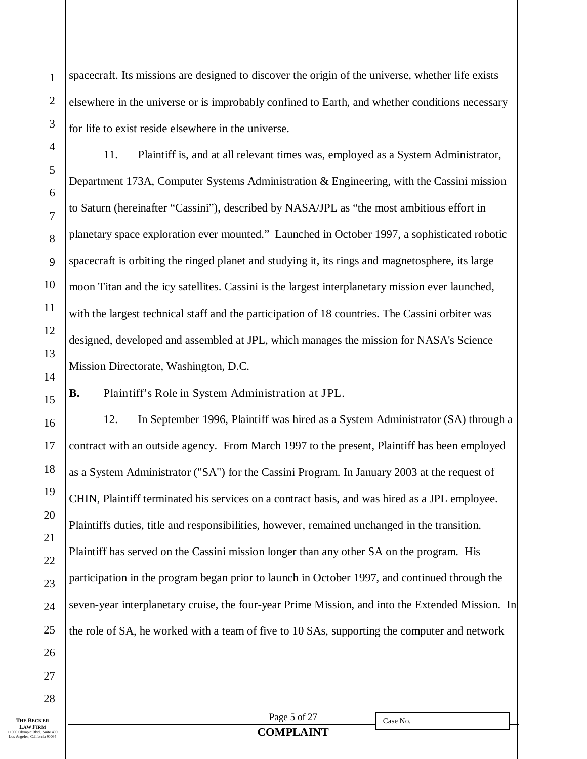spacecraft. Its missions are designed to discover the origin of the universe, whether life exists elsewhere in the universe or is improbably confined to Earth, and whether conditions necessary for life to exist reside elsewhere in the universe.

11. Plaintiff is, and at all relevant times was, employed as a System Administrator, Department 173A, Computer Systems Administration & Engineering, with the Cassini mission to Saturn (hereinafter "Cassini"), described by NASA/JPL as "the most ambitious effort in planetary space exploration ever mounted." Launched in October 1997, a sophisticated robotic spacecraft is orbiting the ringed planet and studying it, its rings and magnetosphere, its large moon Titan and the icy satellites. Cassini is the largest interplanetary mission ever launched, with the largest technical staff and the participation of 18 countries. The Cassini orbiter was designed, developed and assembled at JPL, which manages the mission for NASA's Science Mission Directorate, Washington, D.C.

**B.** Plaintiff's Role in System Administration at JPL.

12. In September 1996, Plaintiff was hired as a System Administrator (SA) through a contract with an outside agency. From March 1997 to the present, Plaintiff has been employed as a System Administrator ("SA") for the Cassini Program. In January 2003 at the request of CHIN, Plaintiff terminated his services on a contract basis, and was hired as a JPL employee. Plaintiffs duties, title and responsibilities, however, remained unchanged in the transition. Plaintiff has served on the Cassini mission longer than any other SA on the program. His participation in the program began prior to launch in October 1997, and continued through the seven-year interplanetary cruise, the four-year Prime Mission, and into the Extended Mission. In the role of SA, he worked with a team of five to 10 SAs, supporting the computer and network

**LAW FIRM**<br>11500 Olympic Blvd., Suite 400 Los Angeles, California 90064

Page 5 of 27 **COMPLAINT**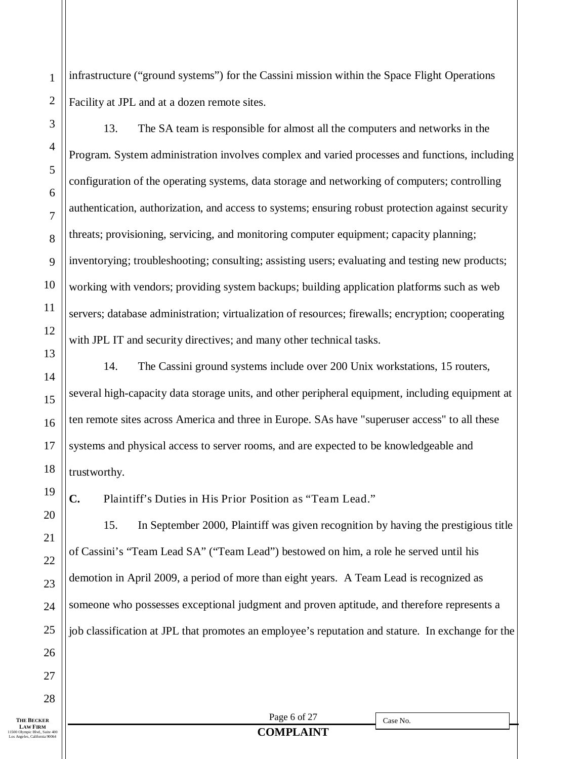infrastructure ("ground systems") for the Cassini mission within the Space Flight Operations Facility at JPL and at a dozen remote sites.

1

13. The SA team is responsible for almost all the computers and networks in the Program. System administration involves complex and varied processes and functions, including configuration of the operating systems, data storage and networking of computers; controlling authentication, authorization, and access to systems; ensuring robust protection against security threats; provisioning, servicing, and monitoring computer equipment; capacity planning; inventorying; troubleshooting; consulting; assisting users; evaluating and testing new products; working with vendors; providing system backups; building application platforms such as web servers; database administration; virtualization of resources; firewalls; encryption; cooperating with JPL IT and security directives; and many other technical tasks.

14. The Cassini ground systems include over 200 Unix workstations, 15 routers, several high-capacity data storage units, and other peripheral equipment, including equipment at ten remote sites across America and three in Europe. SAs have "superuser access" to all these systems and physical access to server rooms, and are expected to be knowledgeable and trustworthy.

**C.** Plaintiff's Duties in His Prior Position as "Team Lead."

15. In September 2000, Plaintiff was given recognition by having the prestigious title of Cassini's "Team Lead SA" ("Team Lead") bestowed on him, a role he served until his demotion in April 2009, a period of more than eight years. A Team Lead is recognized as someone who possesses exceptional judgment and proven aptitude, and therefore represents a job classification at JPL that promotes an employee's reputation and stature. In exchange for the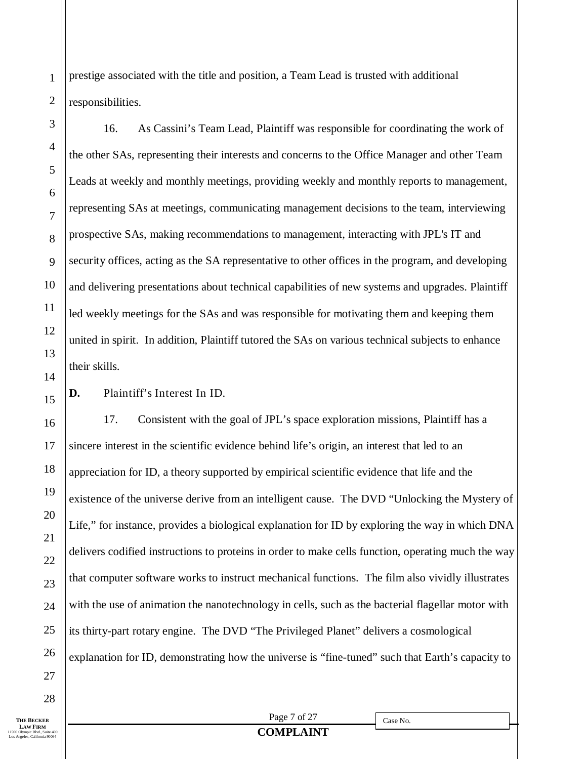prestige associated with the title and position, a Team Lead is trusted with additional responsibilities.

16. As Cassini's Team Lead, Plaintiff was responsible for coordinating the work of the other SAs, representing their interests and concerns to the Office Manager and other Team Leads at weekly and monthly meetings, providing weekly and monthly reports to management, representing SAs at meetings, communicating management decisions to the team, interviewing prospective SAs, making recommendations to management, interacting with JPL's IT and security offices, acting as the SA representative to other offices in the program, and developing and delivering presentations about technical capabilities of new systems and upgrades. Plaintiff led weekly meetings for the SAs and was responsible for motivating them and keeping them united in spirit. In addition, Plaintiff tutored the SAs on various technical subjects to enhance their skills.

**D.** Plaintiff's Interest In ID.

17. Consistent with the goal of JPL's space exploration missions, Plaintiff has a sincere interest in the scientific evidence behind life's origin, an interest that led to an appreciation for ID, a theory supported by empirical scientific evidence that life and the existence of the universe derive from an intelligent cause. The DVD "Unlocking the Mystery of Life," for instance, provides a biological explanation for ID by exploring the way in which DNA delivers codified instructions to proteins in order to make cells function, operating much the way that computer software works to instruct mechanical functions. The film also vividly illustrates with the use of animation the nanotechnology in cells, such as the bacterial flagellar motor with its thirty-part rotary engine. The DVD "The Privileged Planet" delivers a cosmological explanation for ID, demonstrating how the universe is "fine-tuned" such that Earth's capacity to

1

2

3

4

Page 7 of 27 **COMPLAINT**

#### **LAW FIRM**<br>11500 Olympic Blvd., Suite 400 Los Angeles, California 90064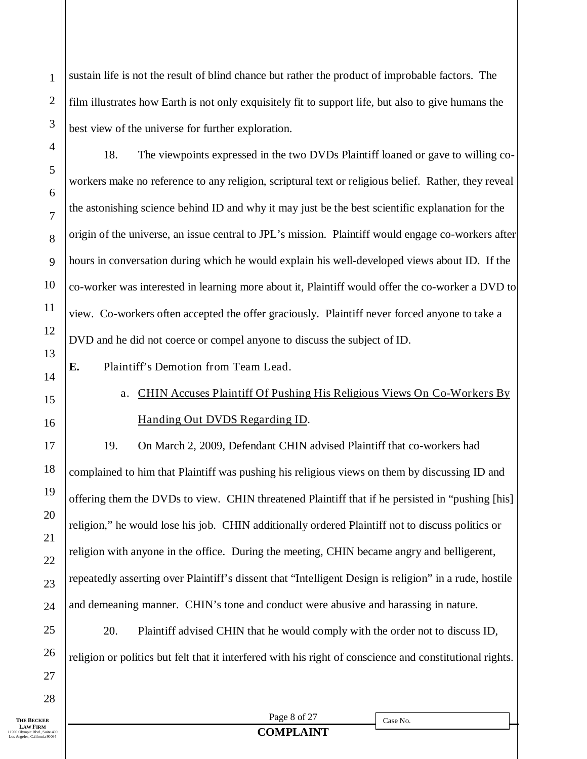sustain life is not the result of blind chance but rather the product of improbable factors. The film illustrates how Earth is not only exquisitely fit to support life, but also to give humans the best view of the universe for further exploration.

18. The viewpoints expressed in the two DVDs Plaintiff loaned or gave to willing coworkers make no reference to any religion, scriptural text or religious belief. Rather, they reveal the astonishing science behind ID and why it may just be the best scientific explanation for the origin of the universe, an issue central to JPL's mission. Plaintiff would engage co-workers after hours in conversation during which he would explain his well-developed views about ID. If the co-worker was interested in learning more about it, Plaintiff would offer the co-worker a DVD to view. Co-workers often accepted the offer graciously. Plaintiff never forced anyone to take a DVD and he did not coerce or compel anyone to discuss the subject of ID.

- **E.** Plaintiff's Demotion from Team Lead.
- 

1

2

3

4

5

6

7

8

9

10

11

12

13

14

15

16

17

18

19

20

21

22

23

24

25

26

27

28

## a. CHIN Accuses Plaintiff Of Pushing His Religious Views On Co-Workers By Handing Out DVDS Regarding ID.

19. On March 2, 2009, Defendant CHIN advised Plaintiff that co-workers had complained to him that Plaintiff was pushing his religious views on them by discussing ID and offering them the DVDs to view. CHIN threatened Plaintiff that if he persisted in "pushing [his] religion," he would lose his job. CHIN additionally ordered Plaintiff not to discuss politics or religion with anyone in the office. During the meeting, CHIN became angry and belligerent, repeatedly asserting over Plaintiff's dissent that "Intelligent Design is religion" in a rude, hostile and demeaning manner. CHIN's tone and conduct were abusive and harassing in nature.

20. Plaintiff advised CHIN that he would comply with the order not to discuss ID, religion or politics but felt that it interfered with his right of conscience and constitutional rights.

**THE BECKER LAW FIRM**<br>11500 Olympic Blvd., Suite 400 Los Angeles, California 90064

Page 8 of 27 **COMPLAINT**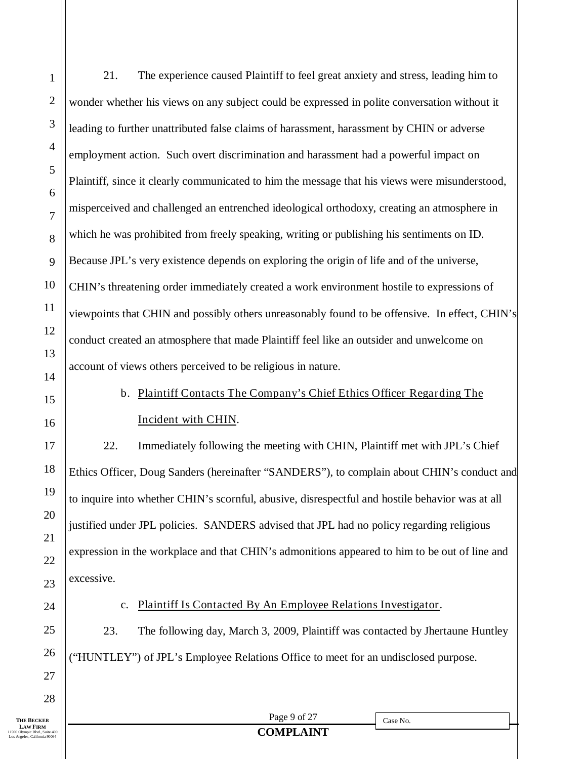1 2 3 4 5 6 7 8 9 10 11 12 13 14 15 16 17 21. The experience caused Plaintiff to feel great anxiety and stress, leading him to wonder whether his views on any subject could be expressed in polite conversation without it leading to further unattributed false claims of harassment, harassment by CHIN or adverse employment action. Such overt discrimination and harassment had a powerful impact on Plaintiff, since it clearly communicated to him the message that his views were misunderstood, misperceived and challenged an entrenched ideological orthodoxy, creating an atmosphere in which he was prohibited from freely speaking, writing or publishing his sentiments on ID. Because JPL's very existence depends on exploring the origin of life and of the universe, CHIN's threatening order immediately created a work environment hostile to expressions of viewpoints that CHIN and possibly others unreasonably found to be offensive. In effect, CHIN's conduct created an atmosphere that made Plaintiff feel like an outsider and unwelcome on account of views others perceived to be religious in nature. b. Plaintiff Contacts The Company's Chief Ethics Officer Regarding The Incident with CHIN. 22. Immediately following the meeting with CHIN, Plaintiff met with JPL's Chief

Ethics Officer, Doug Sanders (hereinafter "SANDERS"), to complain about CHIN's conduct and to inquire into whether CHIN's scornful, abusive, disrespectful and hostile behavior was at all justified under JPL policies. SANDERS advised that JPL had no policy regarding religious expression in the workplace and that CHIN's admonitions appeared to him to be out of line and excessive.

### c. Plaintiff Is Contacted By An Employee Relations Investigator.

23. The following day, March 3, 2009, Plaintiff was contacted by Jhertaune Huntley ("HUNTLEY") of JPL's Employee Relations Office to meet for an undisclosed purpose.

**THE BECKER LAW FIRM**<br>11500 Olympic Blvd., Suite 400 Los Angeles, California 90064

18

19

20

21

22

23

24

25

26

27

28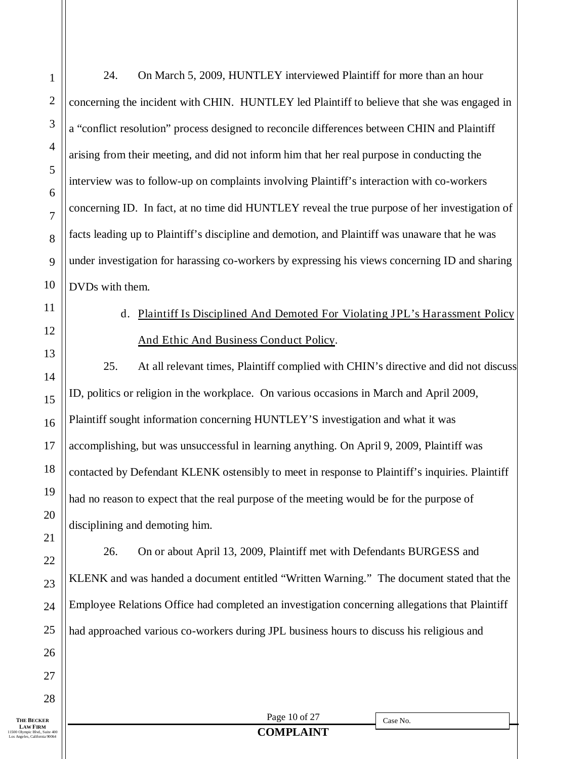24. On March 5, 2009, HUNTLEY interviewed Plaintiff for more than an hour concerning the incident with CHIN. HUNTLEY led Plaintiff to believe that she was engaged in a "conflict resolution" process designed to reconcile differences between CHIN and Plaintiff arising from their meeting, and did not inform him that her real purpose in conducting the interview was to follow-up on complaints involving Plaintiff's interaction with co-workers concerning ID. In fact, at no time did HUNTLEY reveal the true purpose of her investigation of facts leading up to Plaintiff's discipline and demotion, and Plaintiff was unaware that he was under investigation for harassing co-workers by expressing his views concerning ID and sharing DVDs with them.

# d. Plaintiff Is Disciplined And Demoted For Violating JPL's Harassment Policy And Ethic And Business Conduct Policy.

25. At all relevant times, Plaintiff complied with CHIN's directive and did not discuss ID, politics or religion in the workplace. On various occasions in March and April 2009, Plaintiff sought information concerning HUNTLEY'S investigation and what it was accomplishing, but was unsuccessful in learning anything. On April 9, 2009, Plaintiff was contacted by Defendant KLENK ostensibly to meet in response to Plaintiff's inquiries. Plaintiff had no reason to expect that the real purpose of the meeting would be for the purpose of disciplining and demoting him.

26. On or about April 13, 2009, Plaintiff met with Defendants BURGESS and KLENK and was handed a document entitled "Written Warning." The document stated that the Employee Relations Office had completed an investigation concerning allegations that Plaintiff had approached various co-workers during JPL business hours to discuss his religious and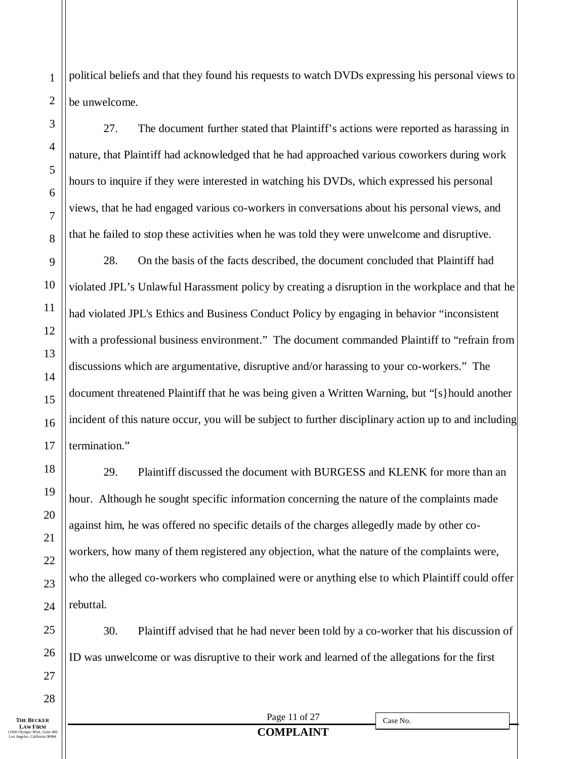political beliefs and that they found his requests to watch DVDs expressing his personal views to be unwelcome.

27. The document further stated that Plaintiff's actions were reported as harassing in nature, that Plaintiff had acknowledged that he had approached various coworkers during work hours to inquire if they were interested in watching his DVDs, which expressed his personal views, that he had engaged various co-workers in conversations about his personal views, and that he failed to stop these activities when he was told they were unwelcome and disruptive.

28. On the basis of the facts described, the document concluded that Plaintiff had violated JPL's Unlawful Harassment policy by creating a disruption in the workplace and that he had violated JPL's Ethics and Business Conduct Policy by engaging in behavior "inconsistent with a professional business environment." The document commanded Plaintiff to "refrain from discussions which are argumentative, disruptive and/or harassing to your co-workers." The document threatened Plaintiff that he was being given a Written Warning, but "[s}hould another incident of this nature occur, you will be subject to further disciplinary action up to and including termination."

29. Plaintiff discussed the document with BURGESS and KLENK for more than an hour. Although he sought specific information concerning the nature of the complaints made against him, he was offered no specific details of the charges allegedly made by other coworkers, how many of them registered any objection, what the nature of the complaints were, who the alleged co-workers who complained were or anything else to which Plaintiff could offer rebuttal.

30. Plaintiff advised that he had never been told by a co-worker that his discussion of ID was unwelcome or was disruptive to their work and learned of the allegations for the first

1

2

3

4

5

6

7

8

9

10

11

12

13

14

15

16

17

18

19

20

21

22

23

24

25

26

27

28

Page 11 of 27 **COMPLAINT**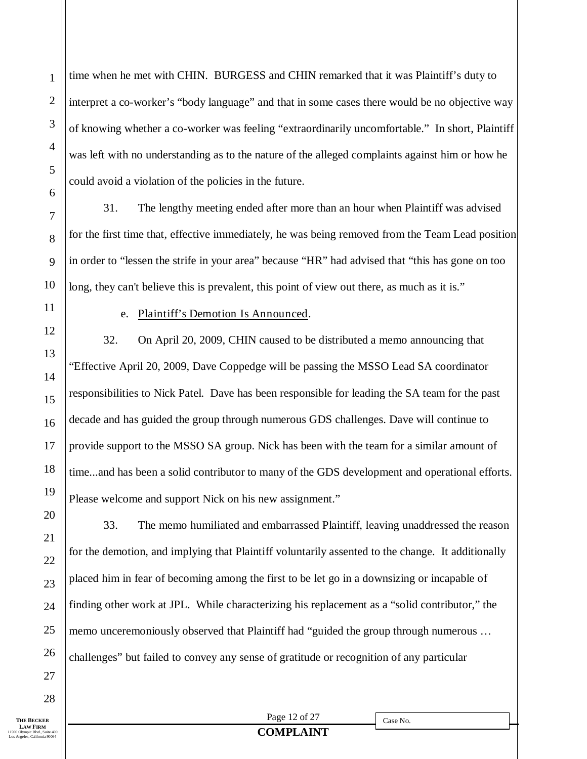time when he met with CHIN. BURGESS and CHIN remarked that it was Plaintiff's duty to interpret a co-worker's "body language" and that in some cases there would be no objective way of knowing whether a co-worker was feeling "extraordinarily uncomfortable." In short, Plaintiff was left with no understanding as to the nature of the alleged complaints against him or how he could avoid a violation of the policies in the future.

31. The lengthy meeting ended after more than an hour when Plaintiff was advised for the first time that, effective immediately, he was being removed from the Team Lead position in order to "lessen the strife in your area" because "HR" had advised that "this has gone on too long, they can't believe this is prevalent, this point of view out there, as much as it is."

1

2

3

4

5

6

7

8

9

10

11

12

13

14

15

16

17

18

19

20

21

22

23

24

25

26

27

## e. Plaintiff's Demotion Is Announced.

32. On April 20, 2009, CHIN caused to be distributed a memo announcing that "Effective April 20, 2009, Dave Coppedge will be passing the MSSO Lead SA coordinator responsibilities to Nick Patel. Dave has been responsible for leading the SA team for the past decade and has guided the group through numerous GDS challenges. Dave will continue to provide support to the MSSO SA group. Nick has been with the team for a similar amount of time...and has been a solid contributor to many of the GDS development and operational efforts. Please welcome and support Nick on his new assignment."

33. The memo humiliated and embarrassed Plaintiff, leaving unaddressed the reason for the demotion, and implying that Plaintiff voluntarily assented to the change. It additionally placed him in fear of becoming among the first to be let go in a downsizing or incapable of finding other work at JPL. While characterizing his replacement as a "solid contributor," the memo unceremoniously observed that Plaintiff had "guided the group through numerous … challenges" but failed to convey any sense of gratitude or recognition of any particular

28

**THE BECKER LAW FIRM**<br>11500 Olympic Blvd., Suite 400 Los Angeles, California 90064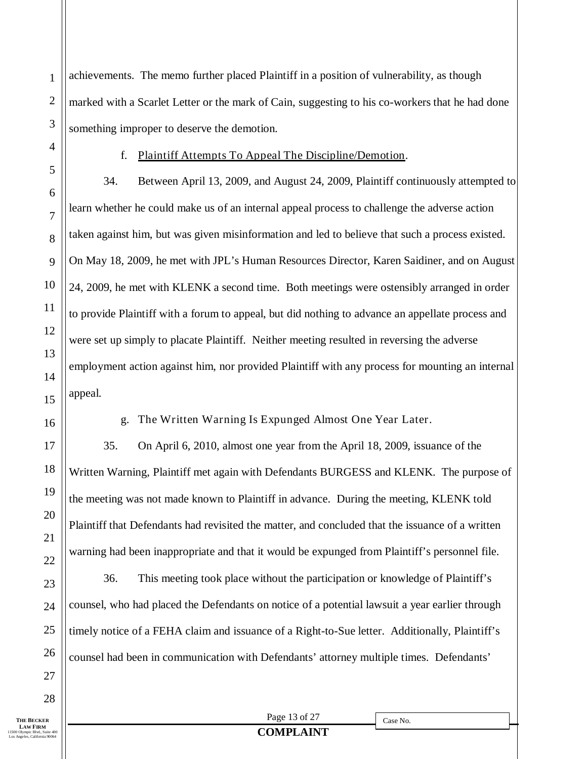achievements. The memo further placed Plaintiff in a position of vulnerability, as though marked with a Scarlet Letter or the mark of Cain, suggesting to his co-workers that he had done something improper to deserve the demotion.

1

2

3

4

5

6

7

8

9

10

11

12

13

14

15

16

17

18

19

20

21

22

23

24

25

26

27

#### f. Plaintiff Attempts To Appeal The Discipline/Demotion.

34. Between April 13, 2009, and August 24, 2009, Plaintiff continuously attempted to learn whether he could make us of an internal appeal process to challenge the adverse action taken against him, but was given misinformation and led to believe that such a process existed. On May 18, 2009, he met with JPL's Human Resources Director, Karen Saidiner, and on August 24, 2009, he met with KLENK a second time. Both meetings were ostensibly arranged in order to provide Plaintiff with a forum to appeal, but did nothing to advance an appellate process and were set up simply to placate Plaintiff. Neither meeting resulted in reversing the adverse employment action against him, nor provided Plaintiff with any process for mounting an internal appeal.

g. The Written Warning Is Expunged Almost One Year Later.

35. On April 6, 2010, almost one year from the April 18, 2009, issuance of the Written Warning, Plaintiff met again with Defendants BURGESS and KLENK. The purpose of the meeting was not made known to Plaintiff in advance. During the meeting, KLENK told Plaintiff that Defendants had revisited the matter, and concluded that the issuance of a written warning had been inappropriate and that it would be expunged from Plaintiff's personnel file.

36. This meeting took place without the participation or knowledge of Plaintiff's counsel, who had placed the Defendants on notice of a potential lawsuit a year earlier through timely notice of a FEHA claim and issuance of a Right-to-Sue letter. Additionally, Plaintiff's counsel had been in communication with Defendants' attorney multiple times. Defendants'

**THE BECKER**  28

Page 13 of 27 **COMPLAINT**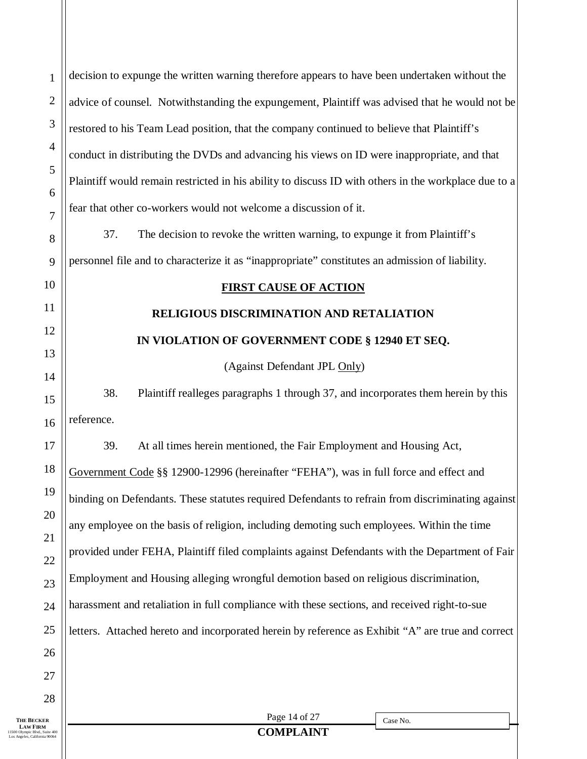| $\mathbf{1}$                                   | decision to expunge the written warning therefore appears to have been undertaken without the                                                                                                                                                                                                                                                                                                                                                                                                            |  |  |  |  |  |  |
|------------------------------------------------|----------------------------------------------------------------------------------------------------------------------------------------------------------------------------------------------------------------------------------------------------------------------------------------------------------------------------------------------------------------------------------------------------------------------------------------------------------------------------------------------------------|--|--|--|--|--|--|
| $\overline{2}$                                 | advice of counsel. Notwithstanding the expungement, Plaintiff was advised that he would not be<br>3<br>restored to his Team Lead position, that the company continued to believe that Plaintiff's<br>$\overline{4}$<br>conduct in distributing the DVDs and advancing his views on ID were inappropriate, and that<br>5<br>Plaintiff would remain restricted in his ability to discuss ID with others in the workplace due to a<br>6<br>fear that other co-workers would not welcome a discussion of it. |  |  |  |  |  |  |
|                                                |                                                                                                                                                                                                                                                                                                                                                                                                                                                                                                          |  |  |  |  |  |  |
|                                                |                                                                                                                                                                                                                                                                                                                                                                                                                                                                                                          |  |  |  |  |  |  |
|                                                |                                                                                                                                                                                                                                                                                                                                                                                                                                                                                                          |  |  |  |  |  |  |
|                                                |                                                                                                                                                                                                                                                                                                                                                                                                                                                                                                          |  |  |  |  |  |  |
| $\tau$<br>8                                    | 37.<br>The decision to revoke the written warning, to expunge it from Plaintiff's                                                                                                                                                                                                                                                                                                                                                                                                                        |  |  |  |  |  |  |
| 9                                              | personnel file and to characterize it as "inappropriate" constitutes an admission of liability.                                                                                                                                                                                                                                                                                                                                                                                                          |  |  |  |  |  |  |
| 10                                             | <b>FIRST CAUSE OF ACTION</b>                                                                                                                                                                                                                                                                                                                                                                                                                                                                             |  |  |  |  |  |  |
| 11                                             | RELIGIOUS DISCRIMINATION AND RETALIATION                                                                                                                                                                                                                                                                                                                                                                                                                                                                 |  |  |  |  |  |  |
| 12                                             | IN VIOLATION OF GOVERNMENT CODE § 12940 ET SEQ.                                                                                                                                                                                                                                                                                                                                                                                                                                                          |  |  |  |  |  |  |
| 13                                             | (Against Defendant JPL Only)                                                                                                                                                                                                                                                                                                                                                                                                                                                                             |  |  |  |  |  |  |
| 14                                             |                                                                                                                                                                                                                                                                                                                                                                                                                                                                                                          |  |  |  |  |  |  |
| 15                                             | 38.<br>Plaintiff realleges paragraphs 1 through 37, and incorporates them herein by this                                                                                                                                                                                                                                                                                                                                                                                                                 |  |  |  |  |  |  |
| 16                                             | reference.                                                                                                                                                                                                                                                                                                                                                                                                                                                                                               |  |  |  |  |  |  |
| 17                                             | 39.<br>At all times herein mentioned, the Fair Employment and Housing Act,                                                                                                                                                                                                                                                                                                                                                                                                                               |  |  |  |  |  |  |
| 18                                             | Government Code §§ 12900-12996 (hereinafter "FEHA"), was in full force and effect and                                                                                                                                                                                                                                                                                                                                                                                                                    |  |  |  |  |  |  |
| 19                                             | binding on Defendants. These statutes required Defendants to refrain from discriminating against                                                                                                                                                                                                                                                                                                                                                                                                         |  |  |  |  |  |  |
| 20                                             | any employee on the basis of religion, including demoting such employees. Within the time                                                                                                                                                                                                                                                                                                                                                                                                                |  |  |  |  |  |  |
| 21                                             | provided under FEHA, Plaintiff filed complaints against Defendants with the Department of Fair                                                                                                                                                                                                                                                                                                                                                                                                           |  |  |  |  |  |  |
| 22                                             | Employment and Housing alleging wrongful demotion based on religious discrimination,                                                                                                                                                                                                                                                                                                                                                                                                                     |  |  |  |  |  |  |
| 23<br>24                                       | harassment and retaliation in full compliance with these sections, and received right-to-sue                                                                                                                                                                                                                                                                                                                                                                                                             |  |  |  |  |  |  |
| 25                                             |                                                                                                                                                                                                                                                                                                                                                                                                                                                                                                          |  |  |  |  |  |  |
| 26                                             | letters. Attached hereto and incorporated herein by reference as Exhibit "A" are true and correct                                                                                                                                                                                                                                                                                                                                                                                                        |  |  |  |  |  |  |
| 27                                             |                                                                                                                                                                                                                                                                                                                                                                                                                                                                                                          |  |  |  |  |  |  |
| 28                                             |                                                                                                                                                                                                                                                                                                                                                                                                                                                                                                          |  |  |  |  |  |  |
| The Becker<br>aw Firm                          | Page 14 of 27<br>Case No.                                                                                                                                                                                                                                                                                                                                                                                                                                                                                |  |  |  |  |  |  |
| pic Blvd., Suite 400<br>eles, California 90064 | <b>COMPLAINT</b>                                                                                                                                                                                                                                                                                                                                                                                                                                                                                         |  |  |  |  |  |  |
|                                                |                                                                                                                                                                                                                                                                                                                                                                                                                                                                                                          |  |  |  |  |  |  |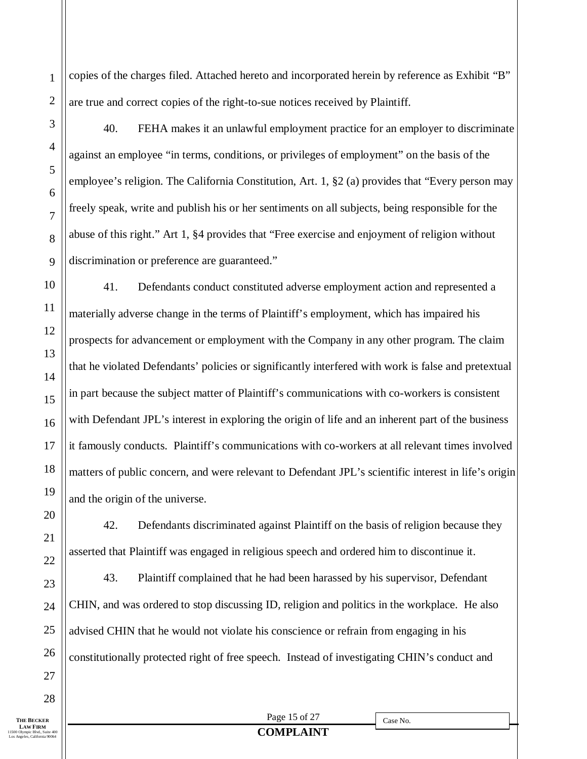copies of the charges filed. Attached hereto and incorporated herein by reference as Exhibit "B" are true and correct copies of the right-to-sue notices received by Plaintiff.

1

2

3

4

5

6

7

8

9

10

11

12

13

14

15

16

17

18

19

20

21

22

23

24

25

26

40. FEHA makes it an unlawful employment practice for an employer to discriminate against an employee "in terms, conditions, or privileges of employment" on the basis of the employee's religion. The California Constitution, Art. 1, §2 (a) provides that "Every person may freely speak, write and publish his or her sentiments on all subjects, being responsible for the abuse of this right." Art 1, §4 provides that "Free exercise and enjoyment of religion without discrimination or preference are guaranteed."

41. Defendants conduct constituted adverse employment action and represented a materially adverse change in the terms of Plaintiff's employment, which has impaired his prospects for advancement or employment with the Company in any other program. The claim that he violated Defendants' policies or significantly interfered with work is false and pretextual in part because the subject matter of Plaintiff's communications with co-workers is consistent with Defendant JPL's interest in exploring the origin of life and an inherent part of the business it famously conducts. Plaintiff's communications with co-workers at all relevant times involved matters of public concern, and were relevant to Defendant JPL's scientific interest in life's origin and the origin of the universe.

42. Defendants discriminated against Plaintiff on the basis of religion because they asserted that Plaintiff was engaged in religious speech and ordered him to discontinue it.

43. Plaintiff complained that he had been harassed by his supervisor, Defendant CHIN, and was ordered to stop discussing ID, religion and politics in the workplace. He also advised CHIN that he would not violate his conscience or refrain from engaging in his constitutionally protected right of free speech. Instead of investigating CHIN's conduct and

27 28

Case No.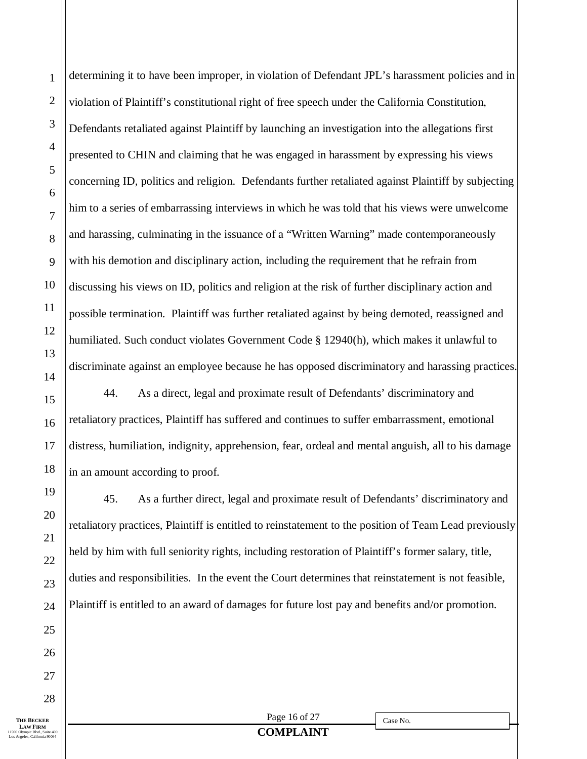determining it to have been improper, in violation of Defendant JPL's harassment policies and in violation of Plaintiff's constitutional right of free speech under the California Constitution, Defendants retaliated against Plaintiff by launching an investigation into the allegations first presented to CHIN and claiming that he was engaged in harassment by expressing his views concerning ID, politics and religion. Defendants further retaliated against Plaintiff by subjecting him to a series of embarrassing interviews in which he was told that his views were unwelcome and harassing, culminating in the issuance of a "Written Warning" made contemporaneously with his demotion and disciplinary action, including the requirement that he refrain from discussing his views on ID, politics and religion at the risk of further disciplinary action and possible termination. Plaintiff was further retaliated against by being demoted, reassigned and humiliated. Such conduct violates Government Code § 12940(h), which makes it unlawful to discriminate against an employee because he has opposed discriminatory and harassing practices.

44. As a direct, legal and proximate result of Defendants' discriminatory and retaliatory practices, Plaintiff has suffered and continues to suffer embarrassment, emotional distress, humiliation, indignity, apprehension, fear, ordeal and mental anguish, all to his damage in an amount according to proof.

45. As a further direct, legal and proximate result of Defendants' discriminatory and retaliatory practices, Plaintiff is entitled to reinstatement to the position of Team Lead previously held by him with full seniority rights, including restoration of Plaintiff's former salary, title, duties and responsibilities. In the event the Court determines that reinstatement is not feasible, Plaintiff is entitled to an award of damages for future lost pay and benefits and/or promotion.

**THE BECKER LAW FIRM**<br>11500 Olympic Blvd., Suite 400 Los Angeles, California 90064

1

2

3

4

5

6

7

8

9

10

11

12

13

14

15

16

17

18

19

20

21

22

23

24

25

26

27

28

Page 16 of 27

Case No.

## **COMPLAINT**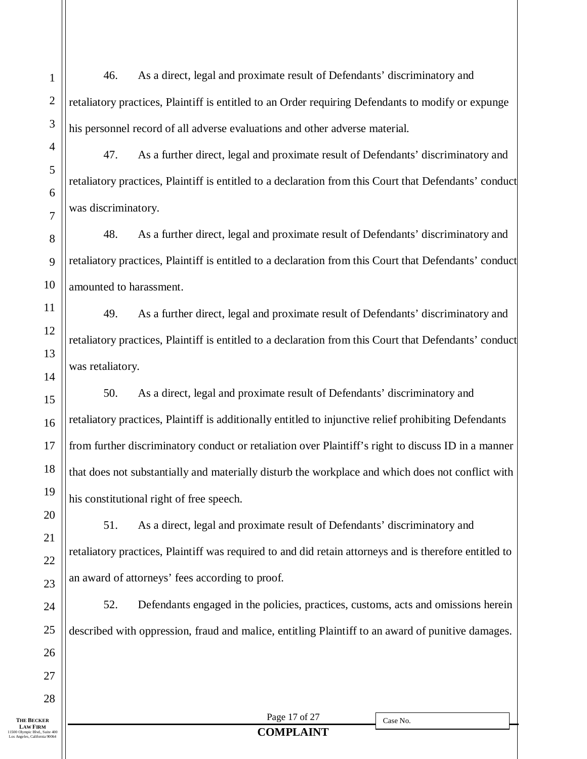46. As a direct, legal and proximate result of Defendants' discriminatory and retaliatory practices, Plaintiff is entitled to an Order requiring Defendants to modify or expunge his personnel record of all adverse evaluations and other adverse material.

47. As a further direct, legal and proximate result of Defendants' discriminatory and retaliatory practices, Plaintiff is entitled to a declaration from this Court that Defendants' conduct was discriminatory.

48. As a further direct, legal and proximate result of Defendants' discriminatory and retaliatory practices, Plaintiff is entitled to a declaration from this Court that Defendants' conduct amounted to harassment.

49. As a further direct, legal and proximate result of Defendants' discriminatory and retaliatory practices, Plaintiff is entitled to a declaration from this Court that Defendants' conduct was retaliatory.

50. As a direct, legal and proximate result of Defendants' discriminatory and retaliatory practices, Plaintiff is additionally entitled to injunctive relief prohibiting Defendants from further discriminatory conduct or retaliation over Plaintiff's right to discuss ID in a manner that does not substantially and materially disturb the workplace and which does not conflict with his constitutional right of free speech.

51. As a direct, legal and proximate result of Defendants' discriminatory and retaliatory practices, Plaintiff was required to and did retain attorneys and is therefore entitled to an award of attorneys' fees according to proof.

52. Defendants engaged in the policies, practices, customs, acts and omissions herein described with oppression, fraud and malice, entitling Plaintiff to an award of punitive damages.

1

**LAW FIRM**<br>11500 Olympic Blvd., Suite 400 Los Angeles, California 90064

Page 17 of 27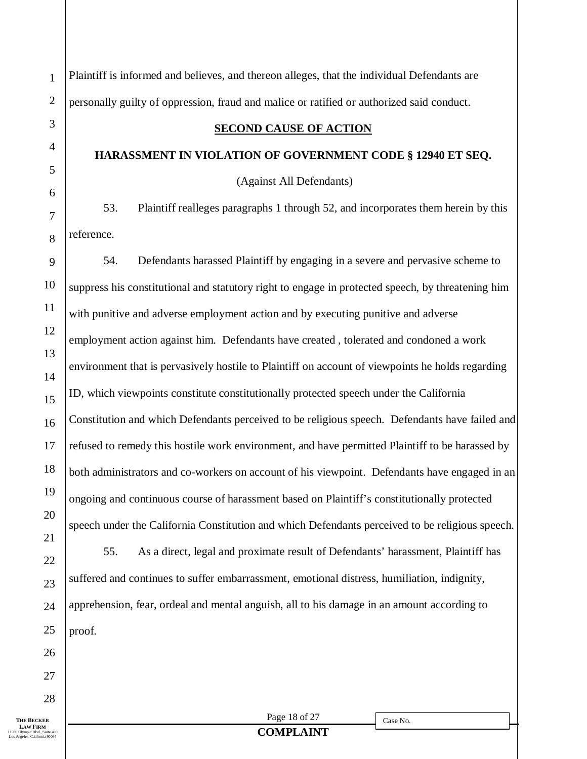Page 18 of 27 **COMPLAINT** Case No. Plaintiff is informed and believes, and thereon alleges, that the individual Defendants are personally guilty of oppression, fraud and malice or ratified or authorized said conduct. **SECOND CAUSE OF ACTION HARASSMENT IN VIOLATION OF GOVERNMENT CODE § 12940 ET SEQ.** (Against All Defendants) 53. Plaintiff realleges paragraphs 1 through 52, and incorporates them herein by this reference. 54. Defendants harassed Plaintiff by engaging in a severe and pervasive scheme to suppress his constitutional and statutory right to engage in protected speech, by threatening him with punitive and adverse employment action and by executing punitive and adverse employment action against him. Defendants have created , tolerated and condoned a work environment that is pervasively hostile to Plaintiff on account of viewpoints he holds regarding ID, which viewpoints constitute constitutionally protected speech under the California Constitution and which Defendants perceived to be religious speech. Defendants have failed and refused to remedy this hostile work environment, and have permitted Plaintiff to be harassed by both administrators and co-workers on account of his viewpoint. Defendants have engaged in an ongoing and continuous course of harassment based on Plaintiff's constitutionally protected speech under the California Constitution and which Defendants perceived to be religious speech. 55. As a direct, legal and proximate result of Defendants' harassment, Plaintiff has suffered and continues to suffer embarrassment, emotional distress, humiliation, indignity, apprehension, fear, ordeal and mental anguish, all to his damage in an amount according to proof.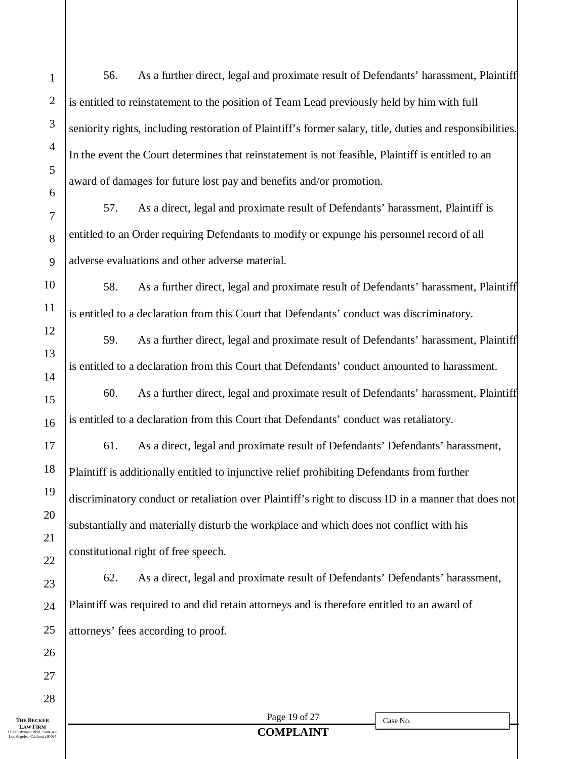Page 19 of 27 1 2 3 4 5 6 7 8 9 56. As a further direct, legal and proximate result of Defendants' harassment, Plaintiff is entitled to reinstatement to the position of Team Lead previously held by him with full seniority rights, including restoration of Plaintiff's former salary, title, duties and responsibilities. In the event the Court determines that reinstatement is not feasible, Plaintiff is entitled to an award of damages for future lost pay and benefits and/or promotion. 57. As a direct, legal and proximate result of Defendants' harassment, Plaintiff is entitled to an Order requiring Defendants to modify or expunge his personnel record of all adverse evaluations and other adverse material. 58. As a further direct, legal and proximate result of Defendants' harassment, Plaintiff is entitled to a declaration from this Court that Defendants' conduct was discriminatory. 59. As a further direct, legal and proximate result of Defendants' harassment, Plaintiff is entitled to a declaration from this Court that Defendants' conduct amounted to harassment. 60. As a further direct, legal and proximate result of Defendants' harassment, Plaintiff is entitled to a declaration from this Court that Defendants' conduct was retaliatory. 61. As a direct, legal and proximate result of Defendants' Defendants' harassment, Plaintiff is additionally entitled to injunctive relief prohibiting Defendants from further discriminatory conduct or retaliation over Plaintiff's right to discuss ID in a manner that does not substantially and materially disturb the workplace and which does not conflict with his constitutional right of free speech. 62. As a direct, legal and proximate result of Defendants' Defendants' harassment, Plaintiff was required to and did retain attorneys and is therefore entitled to an award of attorneys' fees according to proof.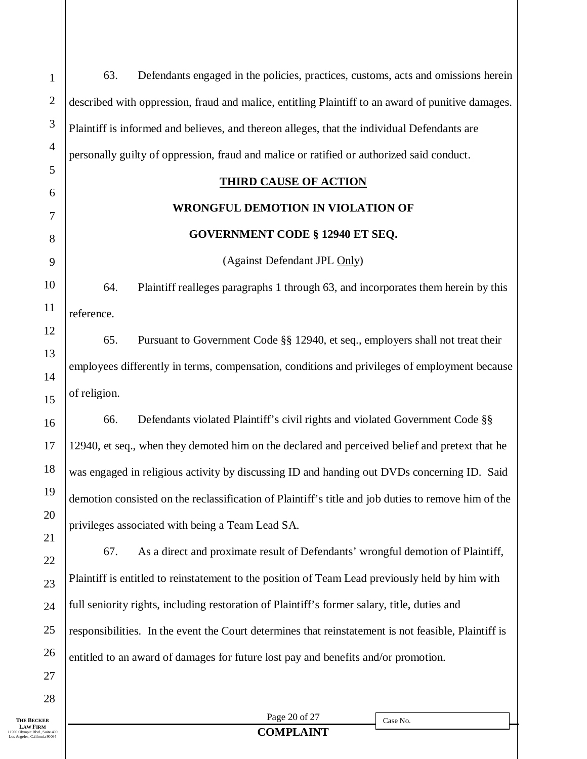63. Defendants engaged in the policies, practices, customs, acts and omissions herein described with oppression, fraud and malice, entitling Plaintiff to an award of punitive damages. Plaintiff is informed and believes, and thereon alleges, that the individual Defendants are personally guilty of oppression, fraud and malice or ratified or authorized said conduct.

#### **THIRD CAUSE OF ACTION**

## **WRONGFUL DEMOTION IN VIOLATION OF**

#### **GOVERNMENT CODE § 12940 ET SEQ.**

(Against Defendant JPL Only)

64. Plaintiff realleges paragraphs 1 through 63, and incorporates them herein by this reference.

65. Pursuant to Government Code §§ 12940, et seq., employers shall not treat their employees differently in terms, compensation, conditions and privileges of employment because of religion.

66. Defendants violated Plaintiff's civil rights and violated Government Code §§ 12940, et seq., when they demoted him on the declared and perceived belief and pretext that he was engaged in religious activity by discussing ID and handing out DVDs concerning ID. Said demotion consisted on the reclassification of Plaintiff's title and job duties to remove him of the privileges associated with being a Team Lead SA.

67. As a direct and proximate result of Defendants' wrongful demotion of Plaintiff, Plaintiff is entitled to reinstatement to the position of Team Lead previously held by him with full seniority rights, including restoration of Plaintiff's former salary, title, duties and responsibilities. In the event the Court determines that reinstatement is not feasible, Plaintiff is entitled to an award of damages for future lost pay and benefits and/or promotion.

Page 20 of 27 **COMPLAINT**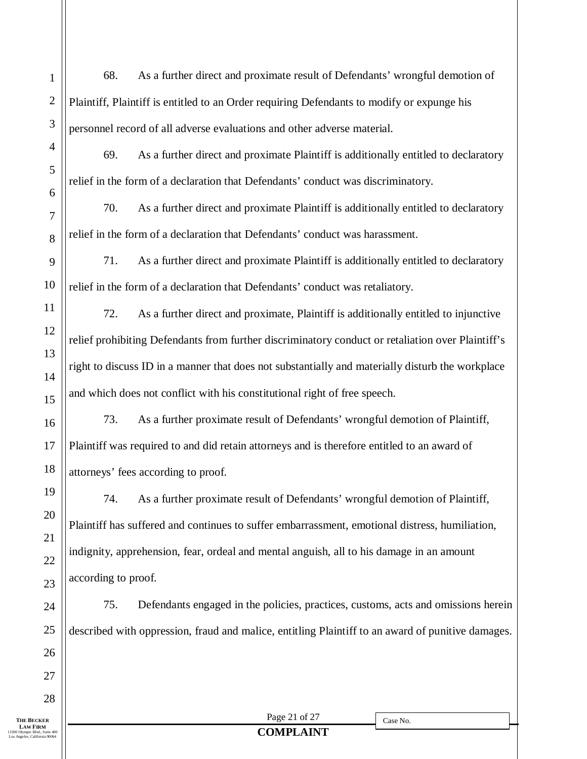Page 21 of 27 **COMPLAINT THE BECKER LAW FIRM**<br>11500 Olympic Blvd., Suite 400 Los Angeles, California 90064 1 2 3 4 5 6 7 8 9 10 11 12 13 14 15 16 17 18 19 20 21 22 23 24 25 26 27 28 Case No. 68. As a further direct and proximate result of Defendants' wrongful demotion of Plaintiff, Plaintiff is entitled to an Order requiring Defendants to modify or expunge his personnel record of all adverse evaluations and other adverse material. 69. As a further direct and proximate Plaintiff is additionally entitled to declaratory relief in the form of a declaration that Defendants' conduct was discriminatory. 70. As a further direct and proximate Plaintiff is additionally entitled to declaratory relief in the form of a declaration that Defendants' conduct was harassment. 71. As a further direct and proximate Plaintiff is additionally entitled to declaratory relief in the form of a declaration that Defendants' conduct was retaliatory. 72. As a further direct and proximate, Plaintiff is additionally entitled to injunctive relief prohibiting Defendants from further discriminatory conduct or retaliation over Plaintiff's right to discuss ID in a manner that does not substantially and materially disturb the workplace and which does not conflict with his constitutional right of free speech. 73. As a further proximate result of Defendants' wrongful demotion of Plaintiff, Plaintiff was required to and did retain attorneys and is therefore entitled to an award of attorneys' fees according to proof. 74. As a further proximate result of Defendants' wrongful demotion of Plaintiff, Plaintiff has suffered and continues to suffer embarrassment, emotional distress, humiliation, indignity, apprehension, fear, ordeal and mental anguish, all to his damage in an amount according to proof. 75. Defendants engaged in the policies, practices, customs, acts and omissions herein described with oppression, fraud and malice, entitling Plaintiff to an award of punitive damages.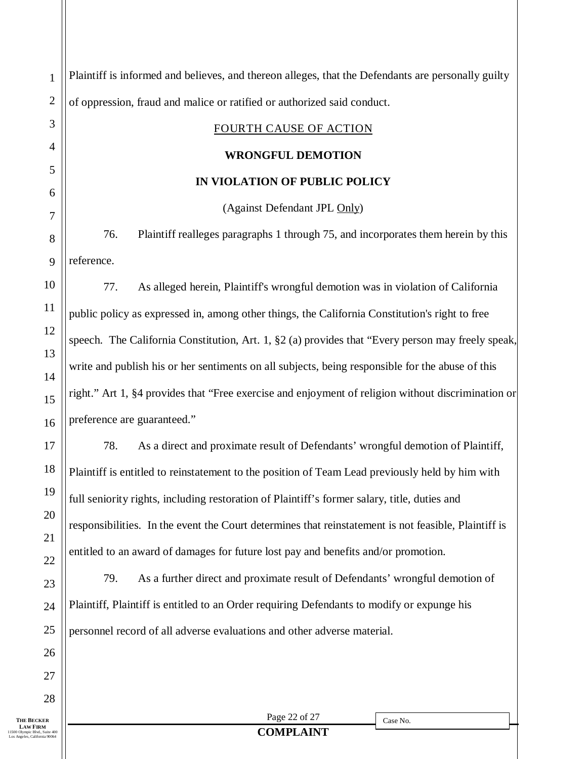Page 22 of 27 **COMPLAINT THE BECKER LAW FIRM** 11500 Olympic Blvd., Suite 400 Los Angeles, California 90064 1 2 3 4 5 6 7 8 9 10 11 12 13 14 15 16 17 18 19 20 21 22 23 24 25 26 27 28 Case No. Plaintiff is informed and believes, and thereon alleges, that the Defendants are personally guilty of oppression, fraud and malice or ratified or authorized said conduct. FOURTH CAUSE OF ACTION **WRONGFUL DEMOTION IN VIOLATION OF PUBLIC POLICY** (Against Defendant JPL Only) 76. Plaintiff realleges paragraphs 1 through 75, and incorporates them herein by this reference. 77. As alleged herein, Plaintiff's wrongful demotion was in violation of California public policy as expressed in, among other things, the California Constitution's right to free speech. The California Constitution, Art. 1, §2 (a) provides that "Every person may freely speak, write and publish his or her sentiments on all subjects, being responsible for the abuse of this right." Art 1, §4 provides that "Free exercise and enjoyment of religion without discrimination or preference are guaranteed." 78. As a direct and proximate result of Defendants' wrongful demotion of Plaintiff, Plaintiff is entitled to reinstatement to the position of Team Lead previously held by him with full seniority rights, including restoration of Plaintiff's former salary, title, duties and responsibilities. In the event the Court determines that reinstatement is not feasible, Plaintiff is entitled to an award of damages for future lost pay and benefits and/or promotion. 79. As a further direct and proximate result of Defendants' wrongful demotion of Plaintiff, Plaintiff is entitled to an Order requiring Defendants to modify or expunge his personnel record of all adverse evaluations and other adverse material.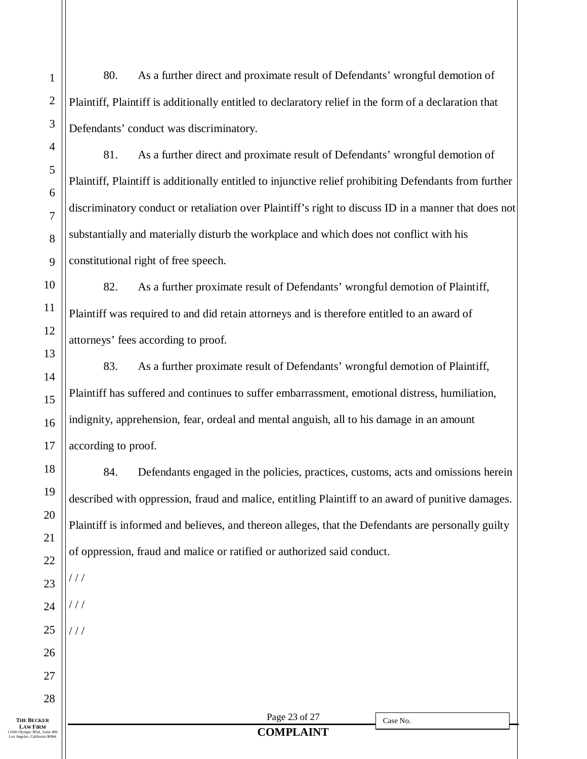80. As a further direct and proximate result of Defendants' wrongful demotion of Plaintiff, Plaintiff is additionally entitled to declaratory relief in the form of a declaration that Defendants' conduct was discriminatory.

81. As a further direct and proximate result of Defendants' wrongful demotion of Plaintiff, Plaintiff is additionally entitled to injunctive relief prohibiting Defendants from further discriminatory conduct or retaliation over Plaintiff's right to discuss ID in a manner that does not substantially and materially disturb the workplace and which does not conflict with his constitutional right of free speech.

82. As a further proximate result of Defendants' wrongful demotion of Plaintiff, Plaintiff was required to and did retain attorneys and is therefore entitled to an award of attorneys' fees according to proof.

83. As a further proximate result of Defendants' wrongful demotion of Plaintiff, Plaintiff has suffered and continues to suffer embarrassment, emotional distress, humiliation, indignity, apprehension, fear, ordeal and mental anguish, all to his damage in an amount according to proof.

84. Defendants engaged in the policies, practices, customs, acts and omissions herein described with oppression, fraud and malice, entitling Plaintiff to an award of punitive damages. Plaintiff is informed and believes, and thereon alleges, that the Defendants are personally guilty of oppression, fraud and malice or ratified or authorized said conduct.

**THE BECKER LAW FIRM** 11500 Olympic Blvd., Suite 400 Los Angeles, California 90064

1

2

3

4

5

6

7

8

9

10

11

12

13

14

15

16

17

18

19

20

21

22

23

/ / /

/ / /

/ / /

24

25

26

27

28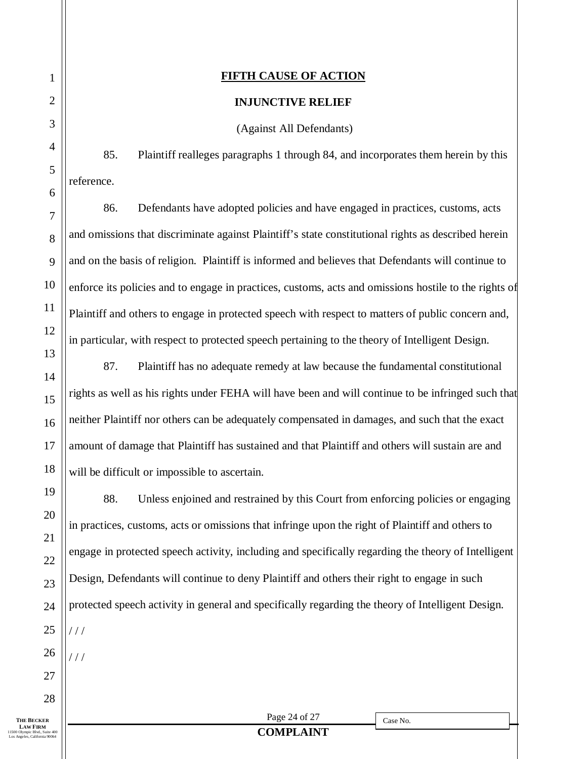#### **FIFTH CAUSE OF ACTION**

#### **INJUNCTIVE RELIEF**

(Against All Defendants)

85. Plaintiff realleges paragraphs 1 through 84, and incorporates them herein by this reference.

86. Defendants have adopted policies and have engaged in practices, customs, acts and omissions that discriminate against Plaintiff's state constitutional rights as described herein and on the basis of religion. Plaintiff is informed and believes that Defendants will continue to enforce its policies and to engage in practices, customs, acts and omissions hostile to the rights of Plaintiff and others to engage in protected speech with respect to matters of public concern and, in particular, with respect to protected speech pertaining to the theory of Intelligent Design.

87. Plaintiff has no adequate remedy at law because the fundamental constitutional rights as well as his rights under FEHA will have been and will continue to be infringed such that neither Plaintiff nor others can be adequately compensated in damages, and such that the exact amount of damage that Plaintiff has sustained and that Plaintiff and others will sustain are and will be difficult or impossible to ascertain.

88. Unless enjoined and restrained by this Court from enforcing policies or engaging in practices, customs, acts or omissions that infringe upon the right of Plaintiff and others to engage in protected speech activity, including and specifically regarding the theory of Intelligent Design, Defendants will continue to deny Plaintiff and others their right to engage in such protected speech activity in general and specifically regarding the theory of Intelligent Design.  $1/1$ / / /

**THE BECKER LAW FIRM**<br>11500 Olympic Blvd., Suite 400 Los Angeles, California 90064

Page 24 of 27

Case No.

## **COMPLAINT**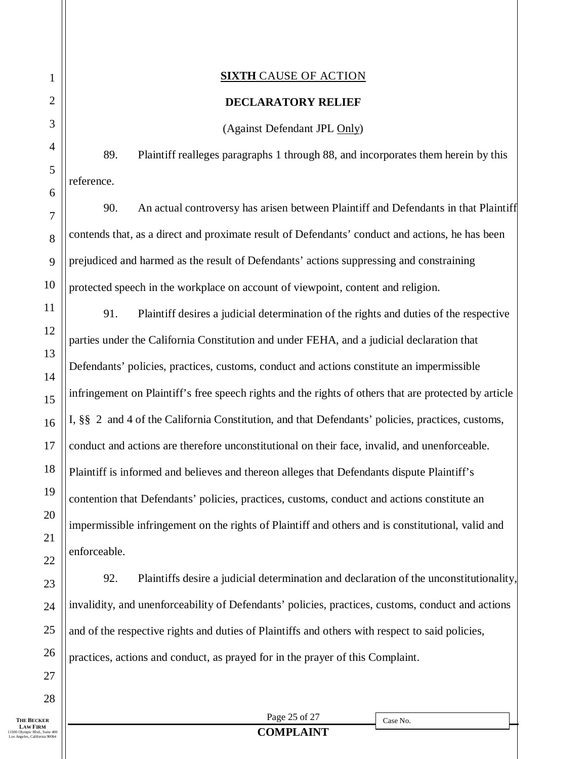#### **SIXTH** CAUSE OF ACTION

#### **DECLARATORY RELIEF**

(Against Defendant JPL Only)

89. Plaintiff realleges paragraphs 1 through 88, and incorporates them herein by this reference.

90. An actual controversy has arisen between Plaintiff and Defendants in that Plaintiff contends that, as a direct and proximate result of Defendants' conduct and actions, he has been prejudiced and harmed as the result of Defendants' actions suppressing and constraining protected speech in the workplace on account of viewpoint, content and religion.

91. Plaintiff desires a judicial determination of the rights and duties of the respective parties under the California Constitution and under FEHA, and a judicial declaration that Defendants' policies, practices, customs, conduct and actions constitute an impermissible infringement on Plaintiff's free speech rights and the rights of others that are protected by article I, §§ 2 and 4 of the California Constitution, and that Defendants' policies, practices, customs, conduct and actions are therefore unconstitutional on their face, invalid, and unenforceable. Plaintiff is informed and believes and thereon alleges that Defendants dispute Plaintiff's contention that Defendants' policies, practices, customs, conduct and actions constitute an impermissible infringement on the rights of Plaintiff and others and is constitutional, valid and enforceable.

92. Plaintiffs desire a judicial determination and declaration of the unconstitutionality, invalidity, and unenforceability of Defendants' policies, practices, customs, conduct and actions and of the respective rights and duties of Plaintiffs and others with respect to said policies, practices, actions and conduct, as prayed for in the prayer of this Complaint.

**THE BECKER LAW FIRM**<br>11500 Olympic Blvd., Suite 400 Los Angeles, California 90064

Page 25 of 27

Case No.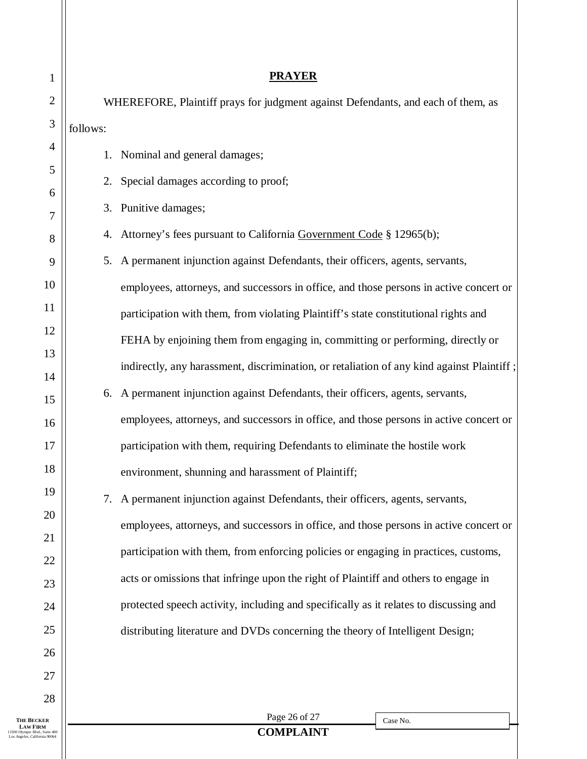| 1                          | <b>PRAYER</b>                                                                          |                                                                                           |  |  |  |  |  |  |
|----------------------------|----------------------------------------------------------------------------------------|-------------------------------------------------------------------------------------------|--|--|--|--|--|--|
| $\mathbf{2}$               |                                                                                        | WHEREFORE, Plaintiff prays for judgment against Defendants, and each of them, as          |  |  |  |  |  |  |
| $\mathfrak{Z}$             | follows:                                                                               |                                                                                           |  |  |  |  |  |  |
| 4                          | 1.                                                                                     | Nominal and general damages;                                                              |  |  |  |  |  |  |
| 5                          | 2.                                                                                     | Special damages according to proof;                                                       |  |  |  |  |  |  |
| 6                          | 3.                                                                                     | Punitive damages;                                                                         |  |  |  |  |  |  |
| 7<br>8                     | 4.                                                                                     | Attorney's fees pursuant to California Government Code § 12965(b);                        |  |  |  |  |  |  |
| 9                          | 5.                                                                                     | A permanent injunction against Defendants, their officers, agents, servants,              |  |  |  |  |  |  |
| 10                         |                                                                                        | employees, attorneys, and successors in office, and those persons in active concert or    |  |  |  |  |  |  |
| 11                         |                                                                                        | participation with them, from violating Plaintiff's state constitutional rights and       |  |  |  |  |  |  |
| 12                         |                                                                                        | FEHA by enjoining them from engaging in, committing or performing, directly or            |  |  |  |  |  |  |
| 13                         |                                                                                        | indirectly, any harassment, discrimination, or retaliation of any kind against Plaintiff; |  |  |  |  |  |  |
| 14                         |                                                                                        |                                                                                           |  |  |  |  |  |  |
| 15                         | 6.                                                                                     | A permanent injunction against Defendants, their officers, agents, servants,              |  |  |  |  |  |  |
| 16                         |                                                                                        | employees, attorneys, and successors in office, and those persons in active concert or    |  |  |  |  |  |  |
| 17                         |                                                                                        | participation with them, requiring Defendants to eliminate the hostile work               |  |  |  |  |  |  |
| 18                         |                                                                                        | environment, shunning and harassment of Plaintiff;                                        |  |  |  |  |  |  |
| 19                         | 7.                                                                                     | A permanent injunction against Defendants, their officers, agents, servants,              |  |  |  |  |  |  |
| 20                         | employees, attorneys, and successors in office, and those persons in active concert or |                                                                                           |  |  |  |  |  |  |
| 21<br>22                   | participation with them, from enforcing policies or engaging in practices, customs,    |                                                                                           |  |  |  |  |  |  |
| 23                         | acts or omissions that infringe upon the right of Plaintiff and others to engage in    |                                                                                           |  |  |  |  |  |  |
| 24                         |                                                                                        | protected speech activity, including and specifically as it relates to discussing and     |  |  |  |  |  |  |
| 25                         |                                                                                        | distributing literature and DVDs concerning the theory of Intelligent Design;             |  |  |  |  |  |  |
| 26                         |                                                                                        |                                                                                           |  |  |  |  |  |  |
| 27                         |                                                                                        |                                                                                           |  |  |  |  |  |  |
| 28                         |                                                                                        |                                                                                           |  |  |  |  |  |  |
| KER<br>RM<br>d., Suite 400 |                                                                                        | Page 26 of 27<br>Case No.<br><b>COMPLAINT</b>                                             |  |  |  |  |  |  |